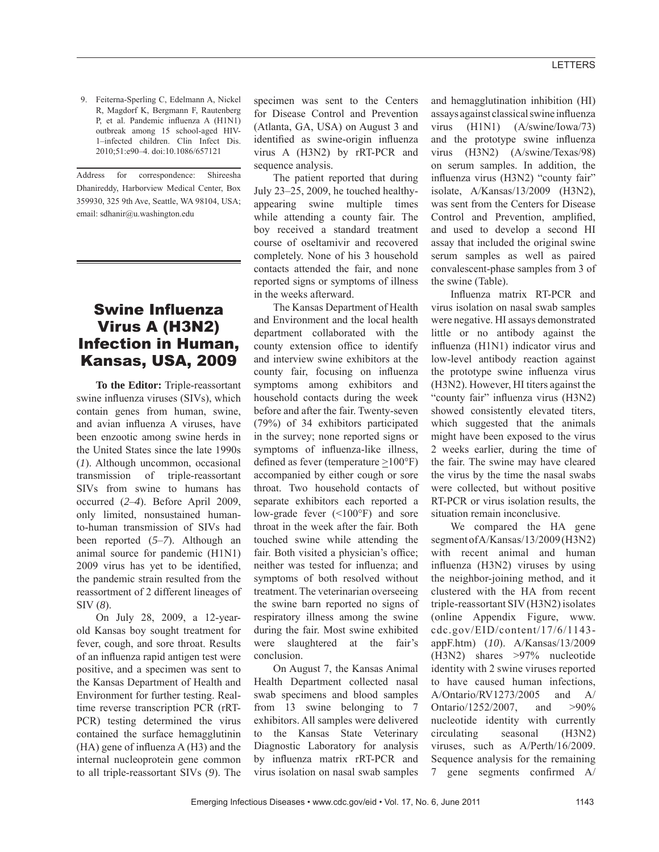9. Feiterna-Sperling C, Edelmann A, Nickel R, Magdorf K, Bergmann F, Rautenberg P, et al. Pandemic influenza A (H1N1) outbreak among 15 school-aged HIV-1–infected children. Clin Infect Dis. 2010;51:e90–4. doi:10.1086/657121

Address for correspondence: Shireesha Dhanireddy, Harborview Medical Center, Box 359930, 325 9th Ave, Seattle, WA 98104, USA; email: sdhanir@u.washington.edu

# **Swine Influenza** Virus A (H3N2) Infection in Human, Kansas, USA, 2009

**To the Editor:** Triple-reassortant swine influenza viruses (SIVs), which contain genes from human, swine, and avian influenza A viruses, have been enzootic among swine herds in the United States since the late 1990s (*1*). Although uncommon, occasional transmission of triple-reassortant SIVs from swine to humans has occurred (*2*–*4*). Before April 2009, only limited, nonsustained humanto-human transmission of SIVs had been reported (*5*–*7*). Although an animal source for pandemic (H1N1) 2009 virus has yet to be identified, the pandemic strain resulted from the reassortment of 2 different lineages of SIV (*8*).

On July 28, 2009, a 12-yearold Kansas boy sought treatment for fever, cough, and sore throat. Results of an influenza rapid antigen test were positive, and a specimen was sent to the Kansas Department of Health and Environment for further testing. Realtime reverse transcription PCR (rRT-PCR) testing determined the virus contained the surface hemagglutinin  $(HA)$  gene of influenza  $A(H3)$  and the internal nucleoprotein gene common to all triple-reassortant SIVs (*9*). The

specimen was sent to the Centers for Disease Control and Prevention (Atlanta, GA, USA) on August 3 and identified as swine-origin influenza virus A (H3N2) by rRT-PCR and sequence analysis.

The patient reported that during July 23–25, 2009, he touched healthyappearing swine multiple times while attending a county fair. The boy received a standard treatment course of oseltamivir and recovered completely. None of his 3 household contacts attended the fair, and none reported signs or symptoms of illness in the weeks afterward.

The Kansas Department of Health and Environment and the local health department collaborated with the county extension office to identify and interview swine exhibitors at the county fair, focusing on influenza symptoms among exhibitors and household contacts during the week before and after the fair. Twenty-seven (79%) of 34 exhibitors participated in the survey; none reported signs or symptoms of influenza-like illness, defined as fever (temperature  $\geq$ 100°F) accompanied by either cough or sore throat. Two household contacts of separate exhibitors each reported a low-grade fever (<100°F) and sore throat in the week after the fair. Both touched swine while attending the fair. Both visited a physician's office; neither was tested for influenza; and symptoms of both resolved without treatment. The veterinarian overseeing the swine barn reported no signs of respiratory illness among the swine during the fair. Most swine exhibited were slaughtered at the fair's conclusion.

On August 7, the Kansas Animal Health Department collected nasal swab specimens and blood samples from 13 swine belonging to 7 exhibitors. All samples were delivered to the Kansas State Veterinary Diagnostic Laboratory for analysis by influenza matrix rRT-PCR and virus isolation on nasal swab samples and hemagglutination inhibition (HI) assays against classical swine influenza virus (H1N1) (A/swine/Iowa/73) and the prototype swine influenza virus (H3N2) (A/swine/Texas/98) on serum samples. In addition, the influenza virus (H3N2) "county fair" isolate, A/Kansas/13/2009 (H3N2), was sent from the Centers for Disease Control and Prevention, amplified, and used to develop a second HI assay that included the original swine serum samples as well as paired convalescent-phase samples from 3 of the swine (Table).

Influenza matrix RT-PCR and virus isolation on nasal swab samples were negative. HI assays demonstrated little or no antibody against the influenza (H1N1) indicator virus and low-level antibody reaction against the prototype swine influenza virus (H3N2). However, HI titers against the "county fair" influenza virus (H3N2) showed consistently elevated titers, which suggested that the animals might have been exposed to the virus 2 weeks earlier, during the time of the fair. The swine may have cleared the virus by the time the nasal swabs were collected, but without positive RT-PCR or virus isolation results, the situation remain inconclusive.

We compared the HA gene segment of A/Kansas/13/2009 (H3N2) with recent animal and human influenza (H3N2) viruses by using the neighbor-joining method, and it clustered with the HA from recent triple-reassortant SIV (H3N2) isolates (online Appendix Figure, www. cdc.gov/EID/content/17/6/1143 appF.htm) (*10*). A/Kansas/13/2009 (H3N2) shares >97% nucleotide identity with 2 swine viruses reported to have caused human infections, A/Ontario/RV1273/2005 and A/ Ontario/1252/2007, and >90% nucleotide identity with currently circulating seasonal (H3N2) viruses, such as A/Perth/16/2009. Sequence analysis for the remaining 7 gene segments confirmed  $A/$